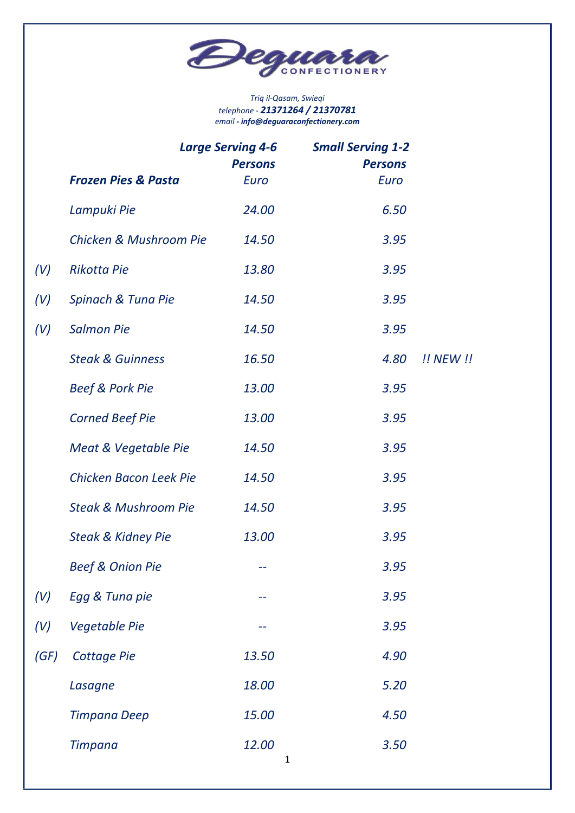

#### Triq il-Qasam, Swieqi telephone - 21371264 / 21370781 email - info@deguaraconfectionery.com

|      | <b>Large Serving 4-6</b><br><b>Persons</b> |                      | <b>Small Serving 1-2</b><br><b>Persons</b> |           |
|------|--------------------------------------------|----------------------|--------------------------------------------|-----------|
|      | <b>Frozen Pies &amp; Pasta</b>             | Euro                 | Euro                                       |           |
|      | Lampuki Pie                                | 24.00                | 6.50                                       |           |
|      | Chicken & Mushroom Pie                     | 14.50                | 3.95                                       |           |
| (V)  | <b>Rikotta Pie</b>                         | 13.80                | 3.95                                       |           |
| (V)  | Spinach & Tuna Pie                         | 14.50                | 3.95                                       |           |
| (V)  | <b>Salmon Pie</b>                          | 14.50                | 3.95                                       |           |
|      | <b>Steak &amp; Guinness</b>                | 16.50                | 4.80                                       | !! NEW !! |
|      | <b>Beef &amp; Pork Pie</b>                 | 13.00                | 3.95                                       |           |
|      | <b>Corned Beef Pie</b>                     | 13.00                | 3.95                                       |           |
|      | Meat & Vegetable Pie                       | 14.50                | 3.95                                       |           |
|      | Chicken Bacon Leek Pie                     | 14.50                | 3.95                                       |           |
|      | <b>Steak &amp; Mushroom Pie</b>            | 14.50                | 3.95                                       |           |
|      | <b>Steak &amp; Kidney Pie</b>              | 13.00                | 3.95                                       |           |
|      | <b>Beef &amp; Onion Pie</b>                | --                   | 3.95                                       |           |
| (V)  | Egg & Tuna pie                             |                      | 3.95                                       |           |
| (V)  | <b>Vegetable Pie</b>                       |                      | 3.95                                       |           |
| (GF) | <b>Cottage Pie</b>                         | 13.50                | 4.90                                       |           |
|      | Lasagne                                    | 18.00                | 5.20                                       |           |
|      | Timpana Deep                               | 15.00                | 4.50                                       |           |
|      | <b>Timpana</b>                             | 12.00<br>$\mathbf 1$ | 3.50                                       |           |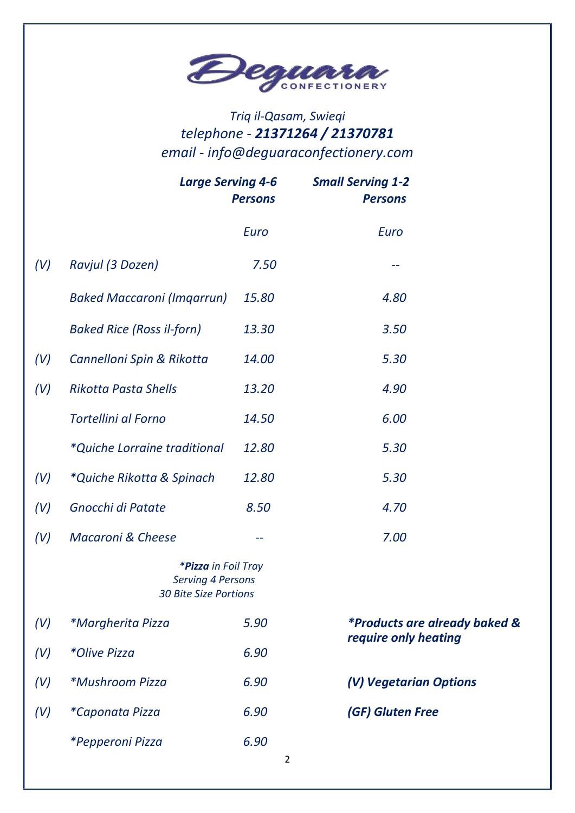

# Triq il-Qasam, Swieqi telephone - 21371264 / 21370781 email - info@deguaraconfectionery.com

|     | <b>Large Serving 4-6</b>                                                        | <b>Persons</b> | <b>Small Serving 1-2</b><br><b>Persons</b> |  |
|-----|---------------------------------------------------------------------------------|----------------|--------------------------------------------|--|
|     |                                                                                 | Euro           | Euro                                       |  |
| (V) | Ravjul (3 Dozen)                                                                | 7.50           |                                            |  |
|     | <b>Baked Maccaroni (Imgarrun)</b>                                               | 15.80          | 4.80                                       |  |
|     | <b>Baked Rice (Ross il-forn)</b>                                                | 13.30          | 3.50                                       |  |
| (V) | Cannelloni Spin & Rikotta                                                       | 14.00          | 5.30                                       |  |
| (V) | <b>Rikotta Pasta Shells</b>                                                     | 13.20          | 4.90                                       |  |
|     | <b>Tortellini al Forno</b>                                                      | 14.50          | 6.00                                       |  |
|     | <i>*Quiche Lorraine traditional</i>                                             | 12.80          | 5.30                                       |  |
| (V) | *Quiche Rikotta & Spinach                                                       | 12.80          | 5.30                                       |  |
| (V) | Gnocchi di Patate                                                               | 8.50           | 4.70                                       |  |
| (V) | <b>Macaroni &amp; Cheese</b>                                                    | --             | 7.00                                       |  |
|     | *Pizza in Foil Tray<br><b>Serving 4 Persons</b><br><b>30 Bite Size Portions</b> |                |                                            |  |
| (V) | <i>*Margherita Pizza</i>                                                        | 5.90           | <i>*Products are already baked &amp;</i>   |  |
| (V) | *Olive Pizza                                                                    | 6.90           | require only heating                       |  |
| (V) | <i>*Mushroom Pizza</i>                                                          | 6.90           | (V) Vegetarian Options                     |  |
| (V) | *Caponata Pizza                                                                 | 6.90           | (GF) Gluten Free                           |  |
|     | *Pepperoni Pizza                                                                | 6.90<br>2      |                                            |  |